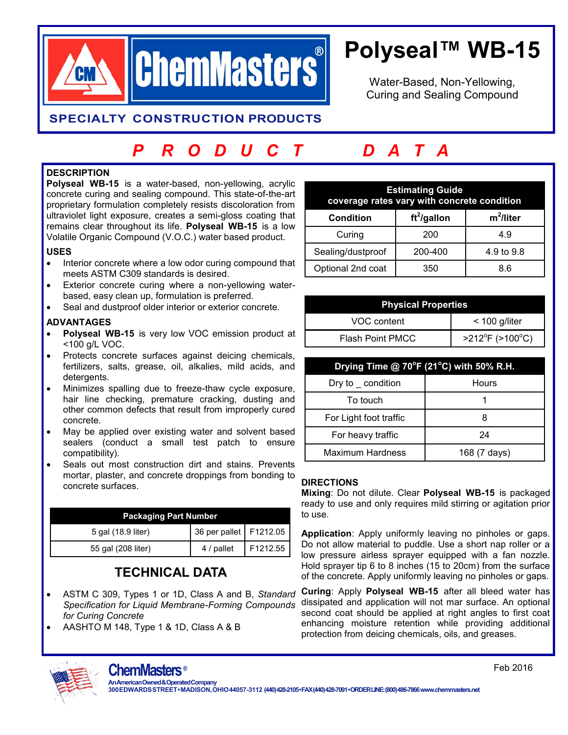

# **Polyseal™ WB-15**

Water-Based, Non-Yellowing, Curing and Sealing Compound

### **SPECIALTY CONSTRUCTION PRODUCTS**

## *P R O D U C T D A T A*

#### **DESCRIPTION**

**Polyseal WB-15** is a water-based, non-yellowing, acrylic concrete curing and sealing compound. This state-of-the-art proprietary formulation completely resists discoloration from ultraviolet light exposure, creates a semi-gloss coating that remains clear throughout its life. **Polyseal WB-15** is a low Volatile Organic Compound (V.O.C.) water based product.

#### **USES**

- Interior concrete where a low odor curing compound that meets ASTM C309 standards is desired.
- Exterior concrete curing where a non-yellowing waterbased, easy clean up, formulation is preferred.
- Seal and dustproof older interior or exterior concrete.

#### **ADVANTAGES**

- **Polyseal WB-15** is very low VOC emission product at <100 g/L VOC.
- Protects concrete surfaces against deicing chemicals, fertilizers, salts, grease, oil, alkalies, mild acids, and detergents.
- Minimizes spalling due to freeze-thaw cycle exposure, hair line checking, premature cracking, dusting and other common defects that result from improperly cured concrete.
- May be applied over existing water and solvent based sealers (conduct a small test patch to ensure compatibility).
- Seals out most construction dirt and stains. Prevents mortar, plaster, and concrete droppings from bonding to concrete surfaces.

| <b>Packaging Part Number</b> |                          |          |  |
|------------------------------|--------------------------|----------|--|
| 5 gal (18.9 liter)           | 36 per pallet   F1212.05 |          |  |
| 55 gal (208 liter)           | 4 / pallet               | F1212.55 |  |

## **TECHNICAL DATA**

- ASTM C 309, Types 1 or 1D, Class A and B, *Standard Specification for Liquid Membrane-Forming Compounds for Curing Concrete*
- AASHTO M 148, Type 1 & 1D, Class A & B

| <b>Estimating Guide</b><br>coverage rates vary with concrete condition |                |              |  |
|------------------------------------------------------------------------|----------------|--------------|--|
| <b>Condition</b>                                                       | $ft^2$ /gallon | $m^2$ /liter |  |
| Curing                                                                 | 200            | 4.9          |  |
| Sealing/dustproof                                                      | 200-400        | 4.9 to 9.8   |  |
| Optional 2nd coat                                                      | 350            | 86           |  |

| <b>Physical Properties</b> |                                      |  |  |
|----------------------------|--------------------------------------|--|--|
| VOC content                | $<$ 100 g/liter                      |  |  |
| <b>Flash Point PMCC</b>    | $>212^{\circ}$ F ( $>100^{\circ}$ C) |  |  |

| Drying Time @ 70°F (21°C) with 50% R.H. |              |  |
|-----------------------------------------|--------------|--|
| Dry to $\_$ condition                   | Hours        |  |
| To touch                                |              |  |
| For Light foot traffic                  |              |  |
| For heavy traffic                       | 24           |  |
| <b>Maximum Hardness</b>                 | 168 (7 days) |  |

#### **DIRECTIONS**

**Mixing**: Do not dilute. Clear **Polyseal WB-15** is packaged ready to use and only requires mild stirring or agitation prior to use.

**Application**: Apply uniformly leaving no pinholes or gaps. Do not allow material to puddle. Use a short nap roller or a low pressure airless sprayer equipped with a fan nozzle. Hold sprayer tip 6 to 8 inches (15 to 20cm) from the surface of the concrete. Apply uniformly leaving no pinholes or gaps.

**Curing**: Apply **Polyseal WB-15** after all bleed water has dissipated and application will not mar surface. An optional second coat should be applied at right angles to first coat enhancing moisture retention while providing additional protection from deicing chemicals, oils, and greases.



**AnAmericanOwned&OperatedCompany 300EDWARDSSTREET•MADISON,OHIO44057-3112 (440)428-2105•FAX(440)428-7091•ORDERLINE:(800)486-7866 [www.chemmasters.net](http://www.chemmasters.net/)**